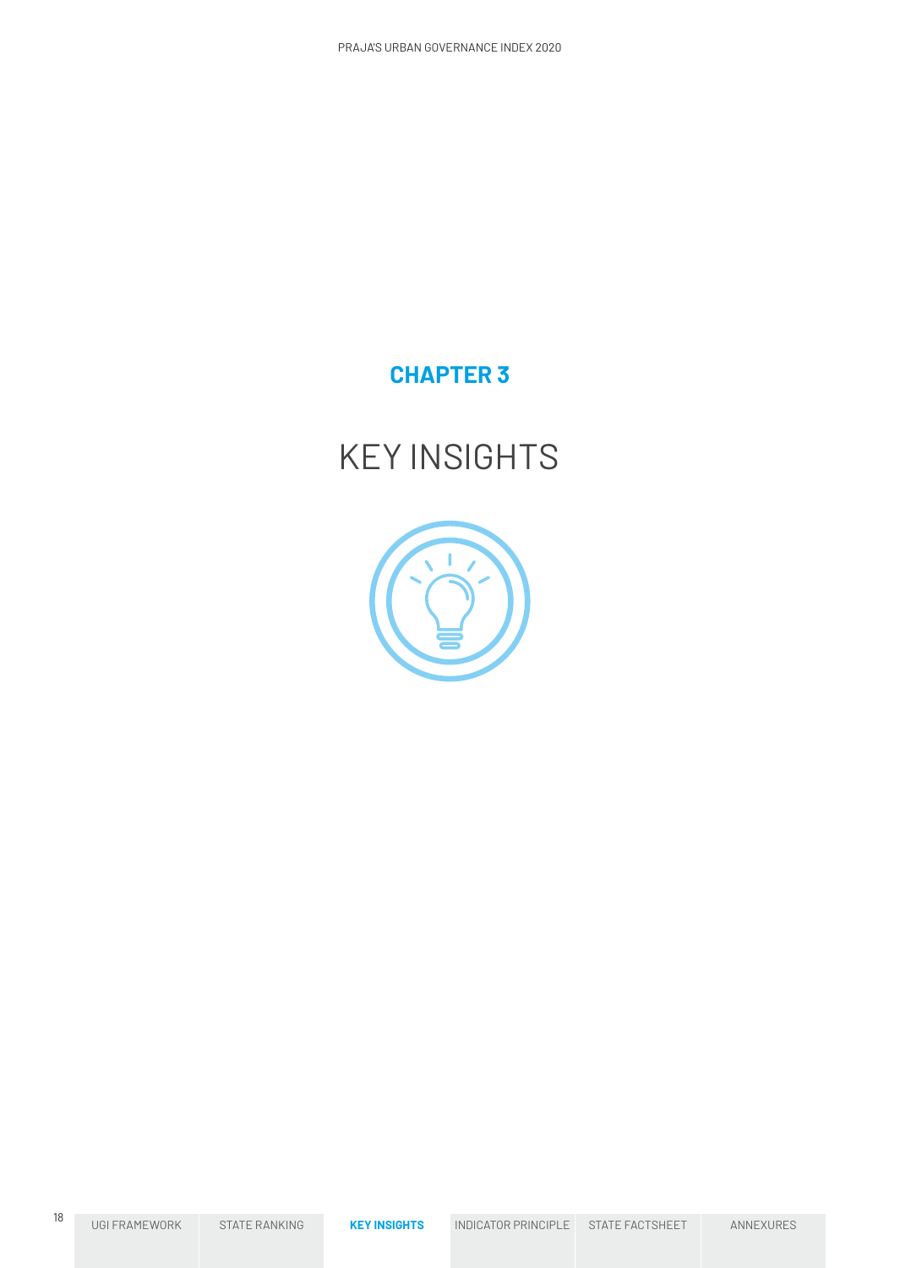

KEY INSIGHTS

# **CHAPTER 3**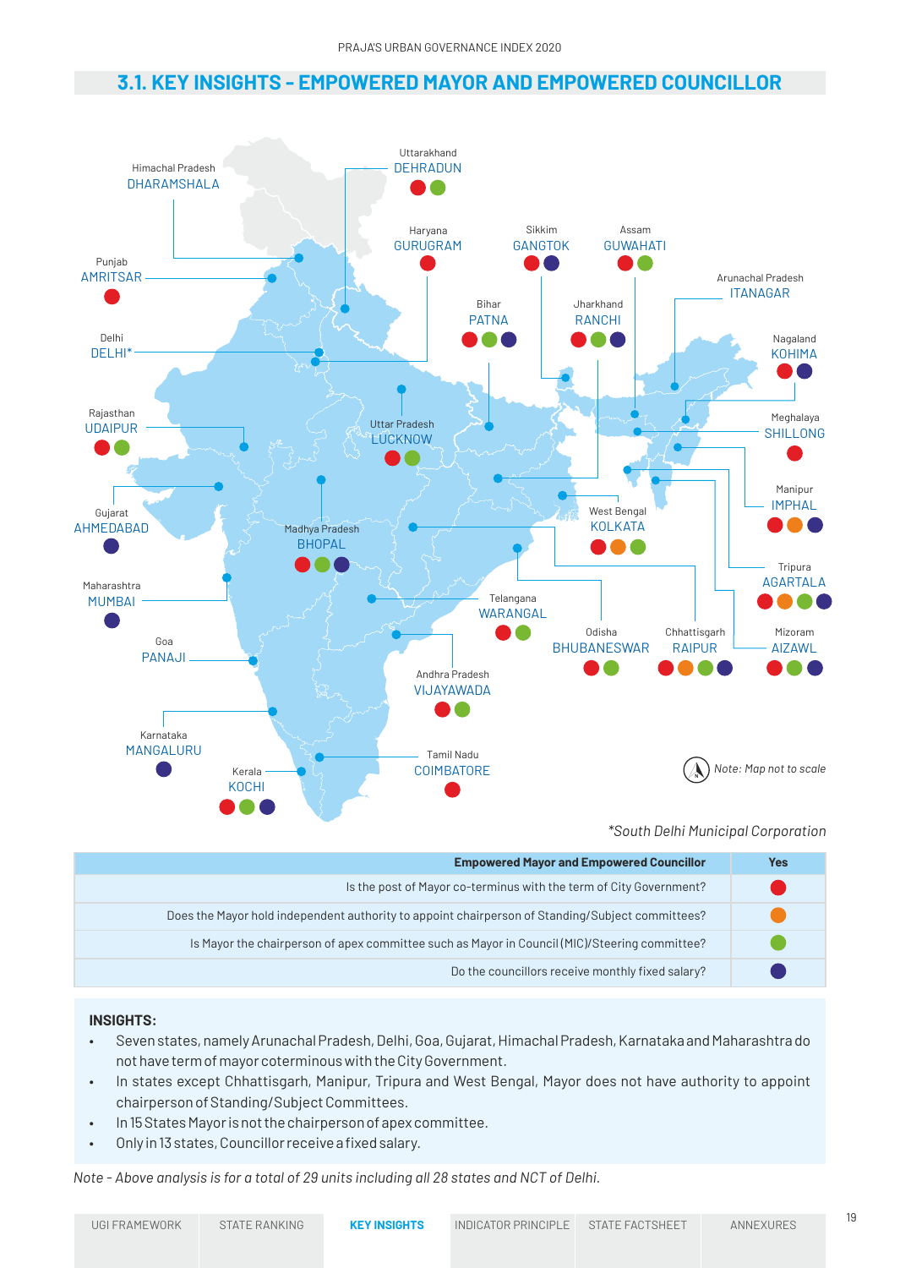### **3.1. KEY INSIGHTS - EMPOWERED MAYOR AND EMPOWERED COUNCILLOR**



### *\*South Delhi Municipal Corporation*

| <b>Empowered Mayor and Empowered Councillor</b>                                                  | Yes |
|--------------------------------------------------------------------------------------------------|-----|
| Is the post of Mayor co-terminus with the term of City Government?                               |     |
| Does the Mayor hold independent authority to appoint chairperson of Standing/Subject committees? |     |
| Is Mayor the chairperson of apex committee such as Mayor in Council (MIC)/Steering committee?    |     |
| Do the councillors receive monthly fixed salary?                                                 |     |

### **INSIGHTS:**

- Seven states, namely Arunachal Pradesh, Delhi, Goa, Gujarat, Himachal Pradesh, Karnataka and Maharashtra do not have term of mayor coterminous with the City Government.
- In states except Chhattisgarh, Manipur, Tripura and West Bengal, Mayor does not have authority to appoint chairperson of Standing/Subject Committees.
- In 15 States Mayor is not the chairperson of apex committee.
- Only in 13 states, Councillor receive a fixed salary.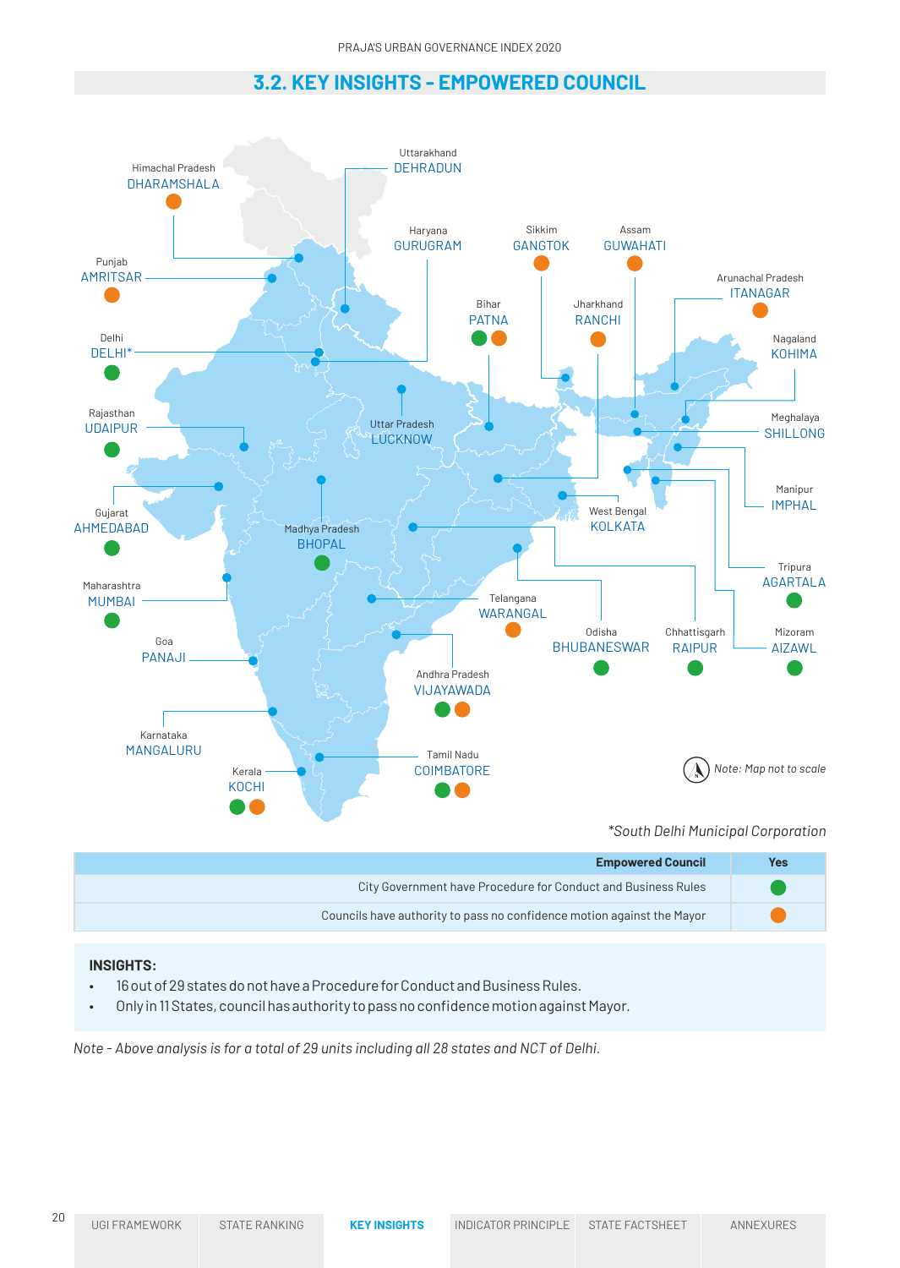# **3.2. KEY INSIGHTS - EMPOWERED COUNCIL**

PRAJA'S URBAN GOVERNANCE INDEX 2020

**Empowered Council** City Government have Procedure for Conduct and Business Rules VIJAYAWADA Andhra Pradesh DELHI\* Delhi PANAJI Goa AHMEDABAD Gujarat GURUGRAM Haryana DHARAMSHALA Himachal Pradesh MANGALURU Karnataka KOCHI Kerala BHOPAL Madhya Pradesh MUMBAI Maharashtra AMRITSAR Punjab UDAIPUR Rajasthan **COIMBATORE** Tamil Nadu LUCKNOW Uttar Pradesh **DEHRADUN** Uttarakhand PATNA Bihar RANCHI Jharkhand RAIPUR Chhattisgarh BHUBANESWAR Odisha KOLKATA West Bengal ITANAGAR Arunachal Pradesh GUWAHATI Assam IMPHAL Manipur SHILLONG Meghalaya AIZAWL Mizoram KOHIMA Nagaland GANGTOK Sikkim AGARTALA Tripura WARANGAL Telangana **Yes** *\*South Delhi Municipal Corporation Note: Map not to scale*

Councils have authority to pass no confidence motion against the Mayor

### **INSIGHTS:**

- 16 out of 29 states do not have a Procedure for Conduct and Business Rules.
- Only in 11 States, council has authority to pass no confidence motion against Mayor.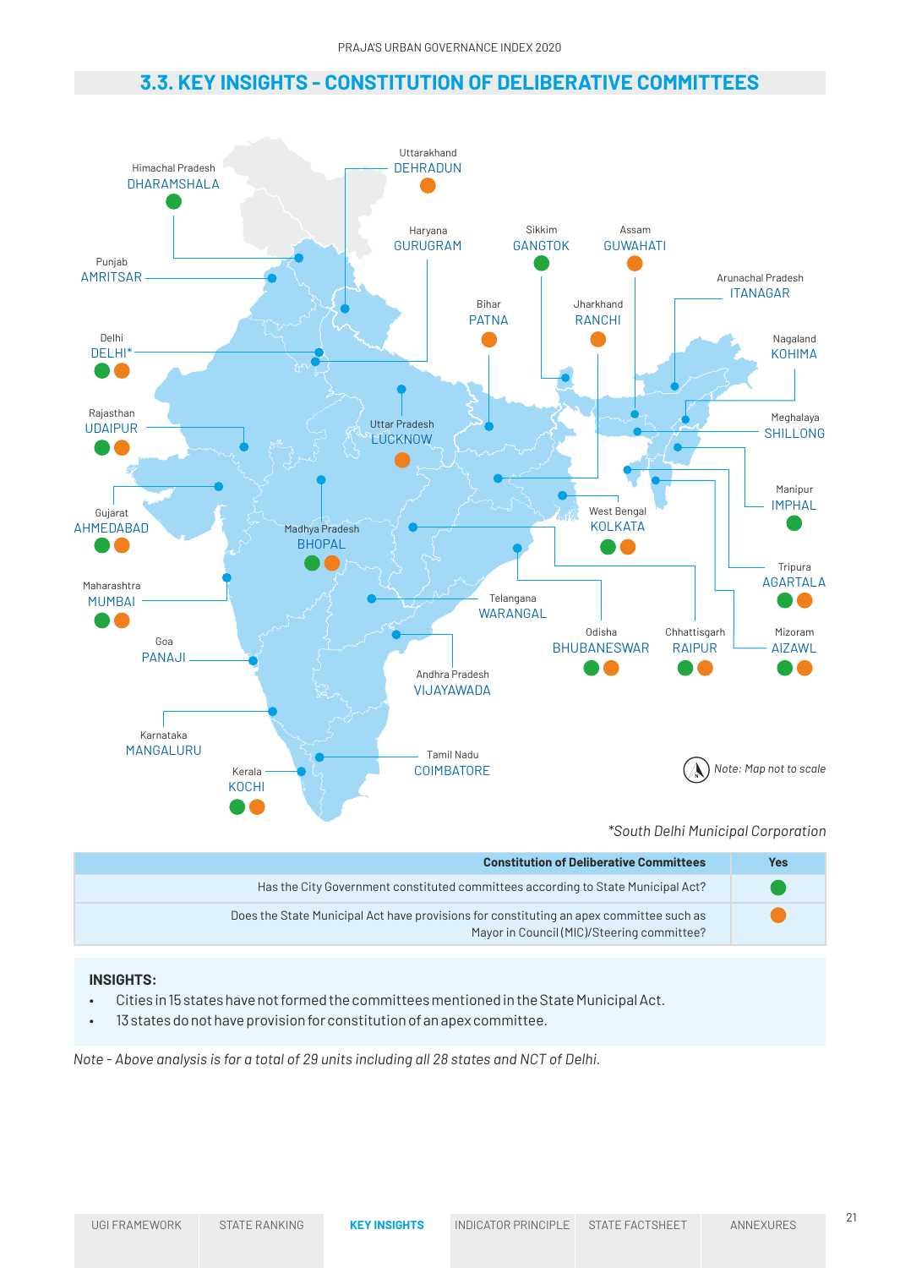# **3.3. KEY INSIGHTS - CONSTITUTION OF DELIBERATIVE COMMITTEES**



*\*South Delhi Municipal Corporation*

| <b>Constitution of Deliberative Committees</b>                                                                                        | Yes |
|---------------------------------------------------------------------------------------------------------------------------------------|-----|
| Has the City Government constituted committees according to State Municipal Act?                                                      |     |
| Does the State Municipal Act have provisions for constituting an apex committee such as<br>Mayor in Council (MIC)/Steering committee? |     |

### **INSIGHTS:**

- Cities in 15 states have not formed the committees mentioned in the State Municipal Act.
- 13 states do not have provision for constitution of an apex committee.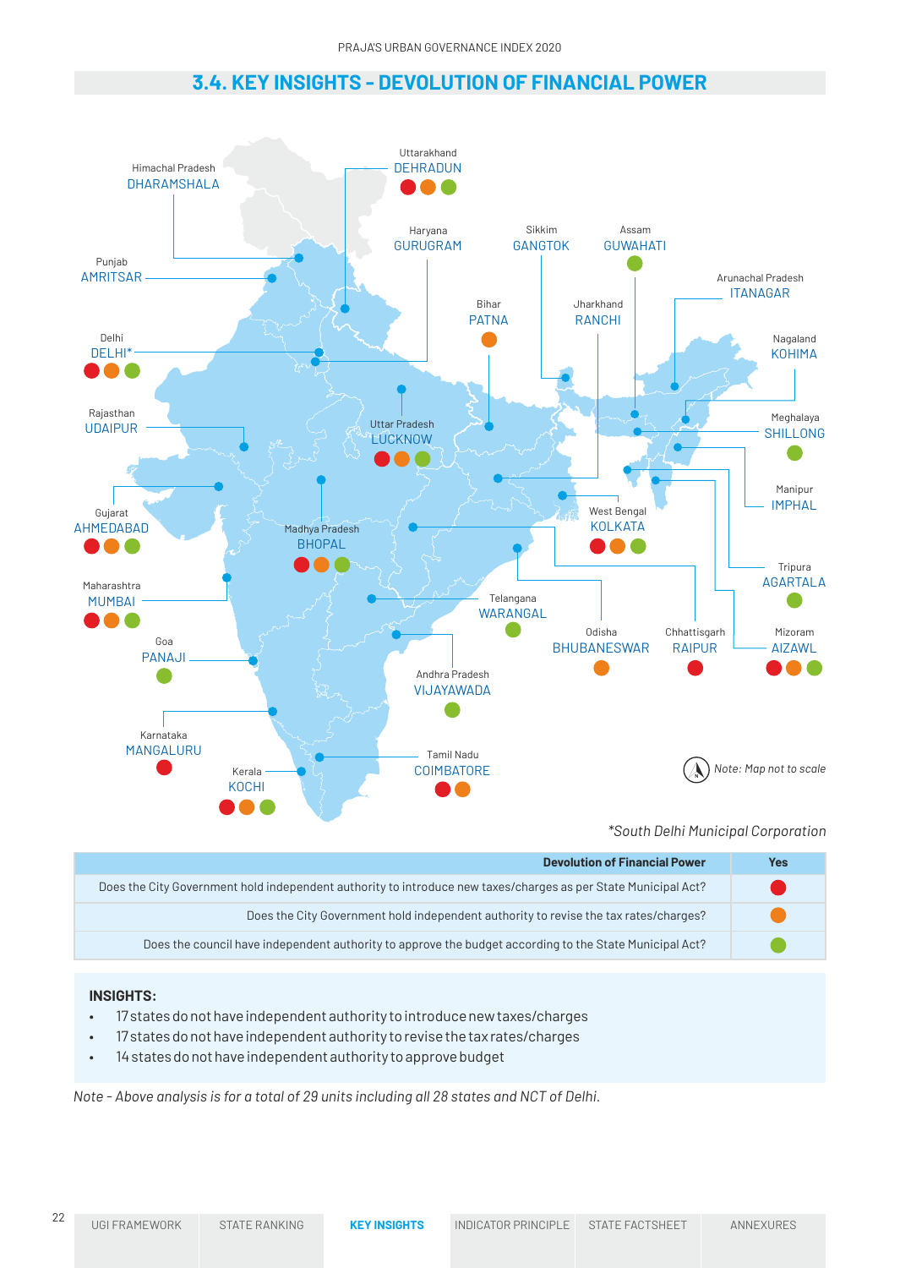# **3.4. KEY INSIGHTS - DEVOLUTION OF FINANCIAL POWER** PRAJA'S URBAN GOVERNANCE INDEX 2020



*\*South Delhi Municipal Corporation*

| <b>Devolution of Financial Power</b>                                                                           | Yes |
|----------------------------------------------------------------------------------------------------------------|-----|
| Does the City Government hold independent authority to introduce new taxes/charges as per State Municipal Act? |     |
| Does the City Government hold independent authority to revise the tax rates/charges?                           |     |
| Does the council have independent authority to approve the budget according to the State Municipal Act?        |     |

### **INSIGHTS:**

- 17 states do not have independent authority to introduce new taxes/charges
- 17 states do not have independent authority to revise the tax rates/charges
- 14 states do not have independent authority to approve budget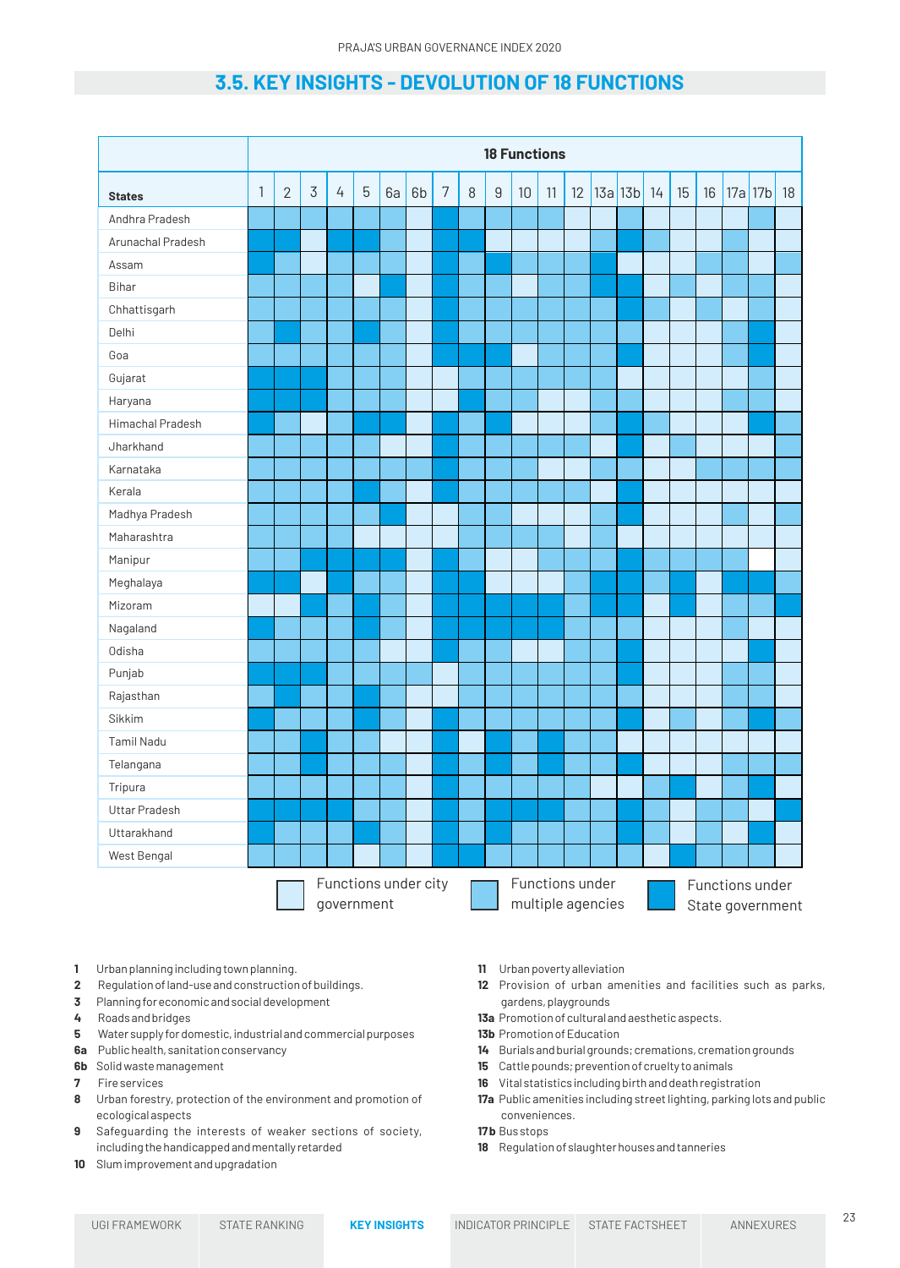# **3.5. KEY INSIGHTS - DEVOLUTION OF 18 FUNCTIONS**

|                   |                                                                            |                |                |                |                |    |    |                |   |                  | <b>18 Functions</b>                 |    |    |            |    |        |  |              |  |
|-------------------|----------------------------------------------------------------------------|----------------|----------------|----------------|----------------|----|----|----------------|---|------------------|-------------------------------------|----|----|------------|----|--------|--|--------------|--|
| <b>States</b>     | 1                                                                          | $\overline{2}$ | $\mathfrak{Z}$ | $\overline{4}$ | $\overline{5}$ | 6a | 6b | $\overline{7}$ | 8 | $\boldsymbol{9}$ | 10                                  | 11 | 12 | 13a 13b 14 | 15 | $16\,$ |  | $17a$ 17b 18 |  |
| Andhra Pradesh    |                                                                            |                |                |                |                |    |    |                |   |                  |                                     |    |    |            |    |        |  |              |  |
| Arunachal Pradesh |                                                                            |                |                |                |                |    |    |                |   |                  |                                     |    |    |            |    |        |  |              |  |
| Assam             |                                                                            |                |                |                |                |    |    |                |   |                  |                                     |    |    |            |    |        |  |              |  |
| <b>Bihar</b>      |                                                                            |                |                |                |                |    |    |                |   |                  |                                     |    |    |            |    |        |  |              |  |
| Chhattisgarh      |                                                                            |                |                |                |                |    |    |                |   |                  |                                     |    |    |            |    |        |  |              |  |
| Delhi             |                                                                            |                |                |                |                |    |    |                |   |                  |                                     |    |    |            |    |        |  |              |  |
| Goa               |                                                                            |                |                |                |                |    |    |                |   |                  |                                     |    |    |            |    |        |  |              |  |
| Gujarat           |                                                                            |                |                |                |                |    |    |                |   |                  |                                     |    |    |            |    |        |  |              |  |
| Haryana           |                                                                            |                |                |                |                |    |    |                |   |                  |                                     |    |    |            |    |        |  |              |  |
| Himachal Pradesh  |                                                                            |                |                |                |                |    |    |                |   |                  |                                     |    |    |            |    |        |  |              |  |
| Jharkhand         |                                                                            |                |                |                |                |    |    |                |   |                  |                                     |    |    |            |    |        |  |              |  |
| Karnataka         |                                                                            |                |                |                |                |    |    |                |   |                  |                                     |    |    |            |    |        |  |              |  |
| Kerala            |                                                                            |                |                |                |                |    |    |                |   |                  |                                     |    |    |            |    |        |  |              |  |
| Madhya Pradesh    |                                                                            |                |                |                |                |    |    |                |   |                  |                                     |    |    |            |    |        |  |              |  |
| Maharashtra       |                                                                            |                |                |                |                |    |    |                |   |                  |                                     |    |    |            |    |        |  |              |  |
| Manipur           |                                                                            |                |                |                |                |    |    |                |   |                  |                                     |    |    |            |    |        |  |              |  |
| Meghalaya         |                                                                            |                |                |                |                |    |    |                |   |                  |                                     |    |    |            |    |        |  |              |  |
| Mizoram           |                                                                            |                |                |                |                |    |    |                |   |                  |                                     |    |    |            |    |        |  |              |  |
| Nagaland          |                                                                            |                |                |                |                |    |    |                |   |                  |                                     |    |    |            |    |        |  |              |  |
| Odisha            |                                                                            |                |                |                |                |    |    |                |   |                  |                                     |    |    |            |    |        |  |              |  |
| Punjab            |                                                                            |                |                |                |                |    |    |                |   |                  |                                     |    |    |            |    |        |  |              |  |
| Rajasthan         |                                                                            |                |                |                |                |    |    |                |   |                  |                                     |    |    |            |    |        |  |              |  |
| Sikkim            |                                                                            |                |                |                |                |    |    |                |   |                  |                                     |    |    |            |    |        |  |              |  |
| Tamil Nadu        |                                                                            |                |                |                |                |    |    |                |   |                  |                                     |    |    |            |    |        |  |              |  |
| Telangana         |                                                                            |                |                |                |                |    |    |                |   |                  |                                     |    |    |            |    |        |  |              |  |
| Tripura           |                                                                            |                |                |                |                |    |    |                |   |                  |                                     |    |    |            |    |        |  |              |  |
| Uttar Pradesh     |                                                                            |                |                |                |                |    |    |                |   |                  |                                     |    |    |            |    |        |  |              |  |
| Uttarakhand       |                                                                            |                |                |                |                |    |    |                |   |                  |                                     |    |    |            |    |        |  |              |  |
| West Bengal       |                                                                            |                |                |                |                |    |    |                |   |                  |                                     |    |    |            |    |        |  |              |  |
|                   | Functions under city<br>Functions under<br>multiple agencies<br>government |                |                |                |                |    |    |                |   |                  | Functions under<br>State government |    |    |            |    |        |  |              |  |

- **1** Urban planning including town planning.
- **2** Regulation of land-use and construction of buildings.
- **3** Planning for economic and social development
- **4** Roads and bridges
- **5** Water supply for domestic, industrial and commercial purposes
- **6a** Public health, sanitation conservancy
- **6b** Solid waste management
- **7** Fire services
- **8** Urban forestry, protection of the environment and promotion of ecological aspects
- **9** Safeguarding the interests of weaker sections of society, including the handicapped and mentally retarded
- **10** Slum improvement and upgradation
- **11** Urban poverty alleviation
- **12** Provision of urban amenities and facilities such as parks, gardens, playgrounds
- **13a** Promotion of cultural and aesthetic aspects.
- **13b** Promotion of Education
- **14** Burials and burial grounds; cremations, cremation grounds
- **15** Cattle pounds; prevention of cruelty to animals
- **16** Vital statistics including birth and death registration
- **17a** Public amenities including street lighting, parking lots and public conveniences.
- **17 b** Bus stops
- **18** Regulation of slaughter houses and tanneries